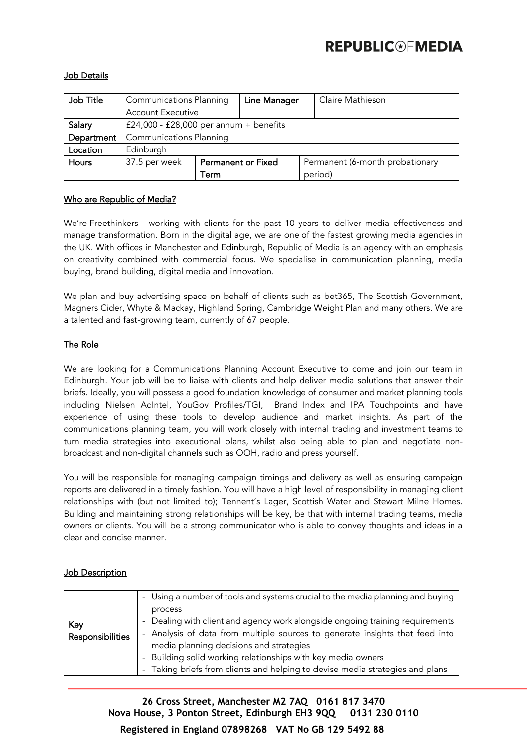# **REPUBLIC®FMEDIA**

### Job Details

| Job Title    | <b>Communications Planning</b>         |                           | Line Manager |  | Claire Mathieson                |
|--------------|----------------------------------------|---------------------------|--------------|--|---------------------------------|
|              | <b>Account Executive</b>               |                           |              |  |                                 |
| Salary       | £24,000 - £28,000 per annum + benefits |                           |              |  |                                 |
| Department   | <b>Communications Planning</b>         |                           |              |  |                                 |
| Location     | Edinburgh                              |                           |              |  |                                 |
| <b>Hours</b> | 37.5 per week                          | <b>Permanent or Fixed</b> |              |  | Permanent (6-month probationary |
|              |                                        | Term                      |              |  | period)                         |

#### Who are Republic of Media?

We're Freethinkers – working with clients for the past 10 years to deliver media effectiveness and manage transformation. Born in the digital age, we are one of the fastest growing media agencies in the UK. With offices in Manchester and Edinburgh, Republic of Media is an agency with an emphasis on creativity combined with commercial focus. We specialise in communication planning, media buying, brand building, digital media and innovation.

We plan and buy advertising space on behalf of clients such as bet365, The Scottish Government, Magners Cider, Whyte & Mackay, Highland Spring, Cambridge Weight Plan and many others. We are a talented and fast-growing team, currently of 67 people.

#### The Role

We are looking for a Communications Planning Account Executive to come and join our team in Edinburgh. Your job will be to liaise with clients and help deliver media solutions that answer their briefs. Ideally, you will possess a good foundation knowledge of consumer and market planning tools including Nielsen AdIntel, YouGov Profiles/TGI, Brand Index and IPA Touchpoints and have experience of using these tools to develop audience and market insights. As part of the communications planning team, you will work closely with internal trading and investment teams to turn media strategies into executional plans, whilst also being able to plan and negotiate nonbroadcast and non-digital channels such as OOH, radio and press yourself.

You will be responsible for managing campaign timings and delivery as well as ensuring campaign reports are delivered in a timely fashion. You will have a high level of responsibility in managing client relationships with (but not limited to); Tennent's Lager, Scottish Water and Stewart Milne Homes. Building and maintaining strong relationships will be key, be that with internal trading teams, media owners or clients. You will be a strong communicator who is able to convey thoughts and ideas in a clear and concise manner.

|                                | - Using a number of tools and systems crucial to the media planning and buying                                                                                                                           |
|--------------------------------|----------------------------------------------------------------------------------------------------------------------------------------------------------------------------------------------------------|
|                                | process                                                                                                                                                                                                  |
| Key<br><b>Responsibilities</b> | - Dealing with client and agency work alongside ongoing training requirements<br>- Analysis of data from multiple sources to generate insights that feed into<br>media planning decisions and strategies |
|                                | - Building solid working relationships with key media owners                                                                                                                                             |
|                                | - Taking briefs from clients and helping to devise media strategies and plans                                                                                                                            |

### **Job Description**

**26 Cross Street, Manchester M2 7AQ 0161 817 3470 Nova House, 3 Ponton Street, Edinburgh EH3 9QQ 0131 230 0110**

**Registered in England 07898268 VAT No GB 129 5492 88**